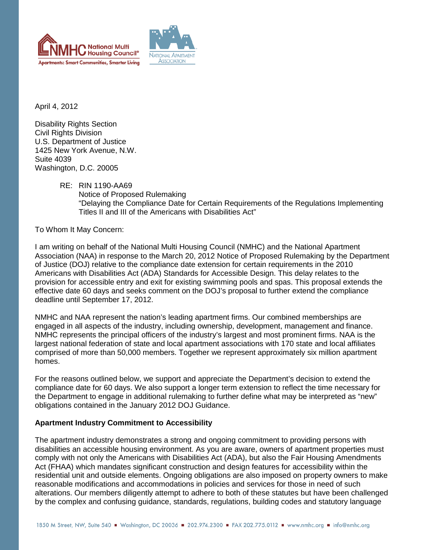



April 4, 2012

Disability Rights Section Civil Rights Division U.S. Department of Justice 1425 New York Avenue, N.W. Suite 4039 Washington, D.C. 20005

> RE: RIN 1190-AA69 Notice of Proposed Rulemaking "Delaying the Compliance Date for Certain Requirements of the Regulations Implementing Titles II and III of the Americans with Disabilities Act"

To Whom It May Concern:

I am writing on behalf of the National Multi Housing Council (NMHC) and the National Apartment Association (NAA) in response to the March 20, 2012 Notice of Proposed Rulemaking by the Department of Justice (DOJ) relative to the compliance date extension for certain requirements in the 2010 Americans with Disabilities Act (ADA) Standards for Accessible Design. This delay relates to the provision for accessible entry and exit for existing swimming pools and spas. This proposal extends the effective date 60 days and seeks comment on the DOJ's proposal to further extend the compliance deadline until September 17, 2012.

NMHC and NAA represent the nation's leading apartment firms. Our combined memberships are engaged in all aspects of the industry, including ownership, development, management and finance. NMHC represents the principal officers of the industry's largest and most prominent firms. NAA is the largest national federation of state and local apartment associations with 170 state and local affiliates comprised of more than 50,000 members. Together we represent approximately six million apartment homes.

For the reasons outlined below, we support and appreciate the Department's decision to extend the compliance date for 60 days. We also support a longer term extension to reflect the time necessary for the Department to engage in additional rulemaking to further define what may be interpreted as "new" obligations contained in the January 2012 DOJ Guidance.

## **Apartment Industry Commitment to Accessibility**

The apartment industry demonstrates a strong and ongoing commitment to providing persons with disabilities an accessible housing environment. As you are aware, owners of apartment properties must comply with not only the Americans with Disabilities Act (ADA), but also the Fair Housing Amendments Act (FHAA) which mandates significant construction and design features for accessibility within the residential unit and outside elements. Ongoing obligations are also imposed on property owners to make reasonable modifications and accommodations in policies and services for those in need of such alterations. Our members diligently attempt to adhere to both of these statutes but have been challenged by the complex and confusing guidance, standards, regulations, building codes and statutory language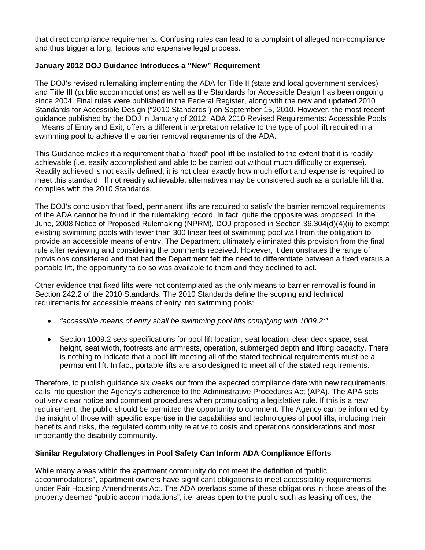that direct compliance requirements. Confusing rules can lead to a complaint of alleged non-compliance and thus trigger a long, tedious and expensive legal process.

## **January 2012 DOJ Guidance Introduces a "New" Requirement**

The DOJ's revised rulemaking implementing the ADA for Title II (state and local government services) and Title III (public accommodations) as well as the Standards for Accessible Design has been ongoing since 2004. Final rules were published in the Federal Register, along with the new and updated 2010 Standards for Accessible Design ("2010 Standards") on September 15, 2010. However, the most recent guidance published by the DOJ in January of 2012, ADA 2010 Revised Requirements: Accessible Pools – Means of Entry and Exit, offers a different interpretation relative to the type of pool lift required in a swimming pool to achieve the barrier removal requirements of the ADA.

This Guidance makes it a requirement that a "fixed" pool lift be installed to the extent that it is readily achievable (i.e. easily accomplished and able to be carried out without much difficulty or expense). Readily achieved is not easily defined; it is not clear exactly how much effort and expense is required to meet this standard. If not readily achievable, alternatives may be considered such as a portable lift that complies with the 2010 Standards.

The DOJ's conclusion that fixed, permanent lifts are required to satisfy the barrier removal requirements of the ADA cannot be found in the rulemaking record. In fact, quite the opposite was proposed. In the June, 2008 Notice of Proposed Rulemaking (NPRM), DOJ proposed in Section 36.304(d)(4)(ii) to exempt existing swimming pools with fewer than 300 linear feet of swimming pool wall from the obligation to provide an accessible means of entry. The Department ultimately eliminated this provision from the final rule after reviewing and considering the comments received. However, it demonstrates the range of provisions considered and that had the Department felt the need to differentiate between a fixed versus a portable lift, the opportunity to do so was available to them and they declined to act.

Other evidence that fixed lifts were not contemplated as the only means to barrier removal is found in Section 242.2 of the 2010 Standards. The 2010 Standards define the scoping and technical requirements for accessible means of entry into swimming pools:

- "accessible means of entry shall be swimming pool lifts complying with 1009.2;"
- Section 1009.2 sets specifications for pool lift location, seat location, clear deck space, seat height, seat width, footrests and armrests, operation, submerged depth and lifting capacity. There is nothing to indicate that a pool lift meeting all of the stated technical requirements must be a permanent lift. In fact, portable lifts are also designed to meet all of the stated requirements.

Therefore, to publish guidance six weeks out from the expected compliance date with new requirements, calls into question the Agency's adherence to the Administrative Procedures Act (APA). The APA sets out very clear notice and comment procedures when promulgating a legislative rule. If this is a new requirement, the public should be permitted the opportunity to comment. The Agency can be informed by the insight of those with specific expertise in the capabilities and technologies of pool lifts, including their benefits and risks, the regulated community relative to costs and operations considerations and most importantly the disability community.

## **Similar Regulatory Challenges in Pool Safety Can Inform ADA Compliance Efforts**

While many areas within the apartment community do not meet the definition of "public accommodations", apartment owners have significant obligations to meet accessibility requirements under Fair Housing Amendments Act. The ADA overlaps some of these obligations in those areas of the property deemed "public accommodations", i.e. areas open to the public such as leasing offices, the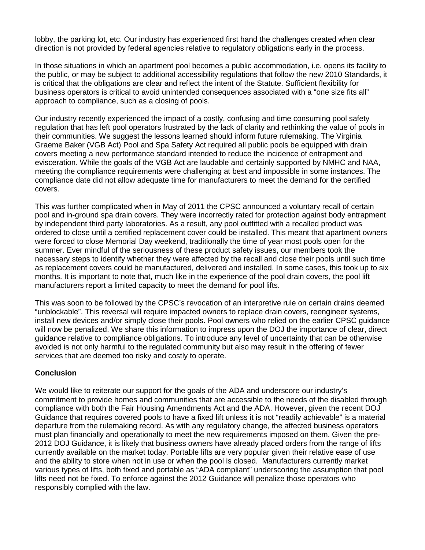lobby, the parking lot, etc. Our industry has experienced first hand the challenges created when clear direction is not provided by federal agencies relative to regulatory obligations early in the process.

In those situations in which an apartment pool becomes a public accommodation, i.e. opens its facility to the public, or may be subject to additional accessibility regulations that follow the new 2010 Standards, it is critical that the obligations are clear and reflect the intent of the Statute. Sufficient flexibility for business operators is critical to avoid unintended consequences associated with a "one size fits all" approach to compliance, such as a closing of pools.

Our industry recently experienced the impact of a costly, confusing and time consuming pool safety regulation that has left pool operators frustrated by the lack of clarity and rethinking the value of pools in their communities. We suggest the lessons learned should inform future rulemaking. The Virginia Graeme Baker (VGB Act) Pool and Spa Safety Act required all public pools be equipped with drain covers meeting a new performance standard intended to reduce the incidence of entrapment and evisceration. While the goals of the VGB Act are laudable and certainly supported by NMHC and NAA, meeting the compliance requirements were challenging at best and impossible in some instances. The compliance date did not allow adequate time for manufacturers to meet the demand for the certified covers.

This was further complicated when in May of 2011 the CPSC announced a voluntary recall of certain pool and in-ground spa drain covers. They were incorrectly rated for protection against body entrapment by independent third party laboratories. As a result, any pool outfitted with a recalled product was ordered to close until a certified replacement cover could be installed. This meant that apartment owners were forced to close Memorial Day weekend, traditionally the time of year most pools open for the summer. Ever mindful of the seriousness of these product safety issues, our members took the necessary steps to identify whether they were affected by the recall and close their pools until such time as replacement covers could be manufactured, delivered and installed. In some cases, this took up to six months. It is important to note that, much like in the experience of the pool drain covers, the pool lift manufacturers report a limited capacity to meet the demand for pool lifts.

This was soon to be followed by the CPSC's revocation of an interpretive rule on certain drains deemed "unblockable". This reversal will require impacted owners to replace drain covers, reengineer systems, install new devices and/or simply close their pools. Pool owners who relied on the earlier CPSC guidance will now be penalized. We share this information to impress upon the DOJ the importance of clear, direct guidance relative to compliance obligations. To introduce any level of uncertainty that can be otherwise avoided is not only harmful to the regulated community but also may result in the offering of fewer services that are deemed too risky and costly to operate.

## **Conclusion**

We would like to reiterate our support for the goals of the ADA and underscore our industry's commitment to provide homes and communities that are accessible to the needs of the disabled through compliance with both the Fair Housing Amendments Act and the ADA. However, given the recent DOJ Guidance that requires covered pools to have a fixed lift unless it is not "readily achievable" is a material departure from the rulemaking record. As with any regulatory change, the affected business operators must plan financially and operationally to meet the new requirements imposed on them. Given the pre-2012 DOJ Guidance, it is likely that business owners have already placed orders from the range of lifts currently available on the market today. Portable lifts are very popular given their relative ease of use and the ability to store when not in use or when the pool is closed. Manufacturers currently market various types of lifts, both fixed and portable as "ADA compliant" underscoring the assumption that pool lifts need not be fixed. To enforce against the 2012 Guidance will penalize those operators who responsibly complied with the law.